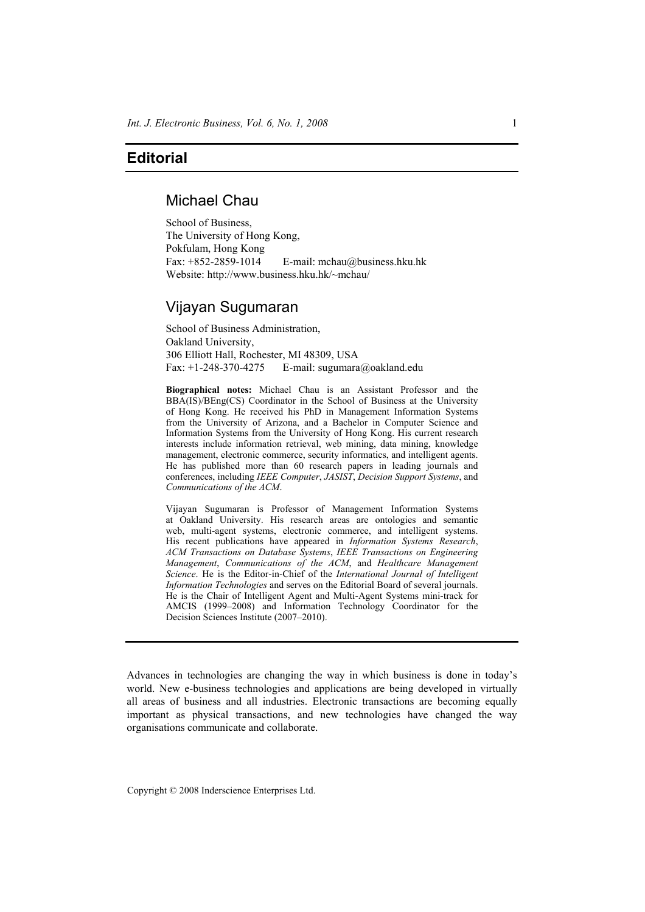## **Editorial**

## Michael Chau

School of Business, The University of Hong Kong, Pokfulam, Hong Kong Fax:  $+852-2859-1014$  E-mail: mchau@business.hku.hk Website: http://www.business.hku.hk/~mchau/

# Vijayan Sugumaran

School of Business Administration, Oakland University, 306 Elliott Hall, Rochester, MI 48309, USA Fax:  $+1-248-370-4275$  E-mail: sugumara@oakland.edu

**Biographical notes:** Michael Chau is an Assistant Professor and the BBA(IS)/BEng(CS) Coordinator in the School of Business at the University of Hong Kong. He received his PhD in Management Information Systems from the University of Arizona, and a Bachelor in Computer Science and Information Systems from the University of Hong Kong. His current research interests include information retrieval, web mining, data mining, knowledge management, electronic commerce, security informatics, and intelligent agents. He has published more than 60 research papers in leading journals and conferences, including *IEEE Computer*, *JASIST*, *Decision Support Systems*, and *Communications of the ACM*.

Vijayan Sugumaran is Professor of Management Information Systems at Oakland University. His research areas are ontologies and semantic web, multi-agent systems, electronic commerce, and intelligent systems. His recent publications have appeared in *Information Systems Research*, *ACM Transactions on Database Systems*, *IEEE Transactions on Engineering Management*, *Communications of the ACM*, and *Healthcare Management Science*. He is the Editor-in-Chief of the *International Journal of Intelligent Information Technologies* and serves on the Editorial Board of several journals. He is the Chair of Intelligent Agent and Multi-Agent Systems mini-track for AMCIS (1999–2008) and Information Technology Coordinator for the Decision Sciences Institute (2007–2010).

Advances in technologies are changing the way in which business is done in today's world. New e-business technologies and applications are being developed in virtually all areas of business and all industries. Electronic transactions are becoming equally important as physical transactions, and new technologies have changed the way organisations communicate and collaborate.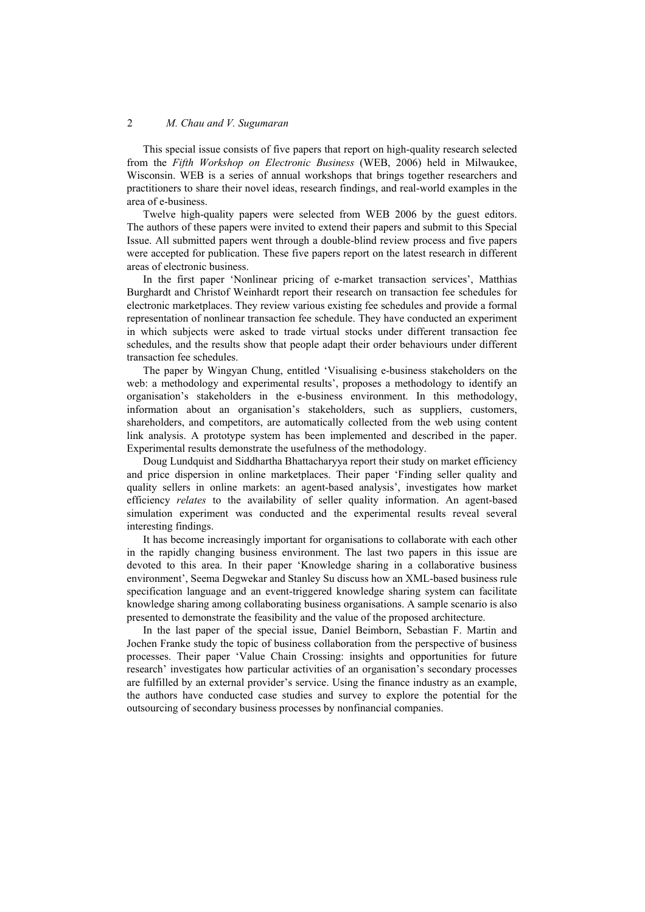#### 2 *M. Chau and V. Sugumaran*

This special issue consists of five papers that report on high-quality research selected from the *Fifth Workshop on Electronic Business* (WEB, 2006) held in Milwaukee, Wisconsin. WEB is a series of annual workshops that brings together researchers and practitioners to share their novel ideas, research findings, and real-world examples in the area of e-business.

Twelve high-quality papers were selected from WEB 2006 by the guest editors. The authors of these papers were invited to extend their papers and submit to this Special Issue. All submitted papers went through a double-blind review process and five papers were accepted for publication. These five papers report on the latest research in different areas of electronic business.

In the first paper 'Nonlinear pricing of e-market transaction services', Matthias Burghardt and Christof Weinhardt report their research on transaction fee schedules for electronic marketplaces. They review various existing fee schedules and provide a formal representation of nonlinear transaction fee schedule. They have conducted an experiment in which subjects were asked to trade virtual stocks under different transaction fee schedules, and the results show that people adapt their order behaviours under different transaction fee schedules.

The paper by Wingyan Chung, entitled 'Visualising e-business stakeholders on the web: a methodology and experimental results', proposes a methodology to identify an organisation's stakeholders in the e-business environment. In this methodology, information about an organisation's stakeholders, such as suppliers, customers, shareholders, and competitors, are automatically collected from the web using content link analysis. A prototype system has been implemented and described in the paper. Experimental results demonstrate the usefulness of the methodology.

Doug Lundquist and Siddhartha Bhattacharyya report their study on market efficiency and price dispersion in online marketplaces. Their paper 'Finding seller quality and quality sellers in online markets: an agent-based analysis', investigates how market efficiency *relates* to the availability of seller quality information. An agent-based simulation experiment was conducted and the experimental results reveal several interesting findings.

It has become increasingly important for organisations to collaborate with each other in the rapidly changing business environment. The last two papers in this issue are devoted to this area. In their paper 'Knowledge sharing in a collaborative business environment', Seema Degwekar and Stanley Su discuss how an XML-based business rule specification language and an event-triggered knowledge sharing system can facilitate knowledge sharing among collaborating business organisations. A sample scenario is also presented to demonstrate the feasibility and the value of the proposed architecture.

In the last paper of the special issue, Daniel Beimborn, Sebastian F. Martin and Jochen Franke study the topic of business collaboration from the perspective of business processes. Their paper 'Value Chain Crossing: insights and opportunities for future research' investigates how particular activities of an organisation's secondary processes are fulfilled by an external provider's service. Using the finance industry as an example, the authors have conducted case studies and survey to explore the potential for the outsourcing of secondary business processes by nonfinancial companies.